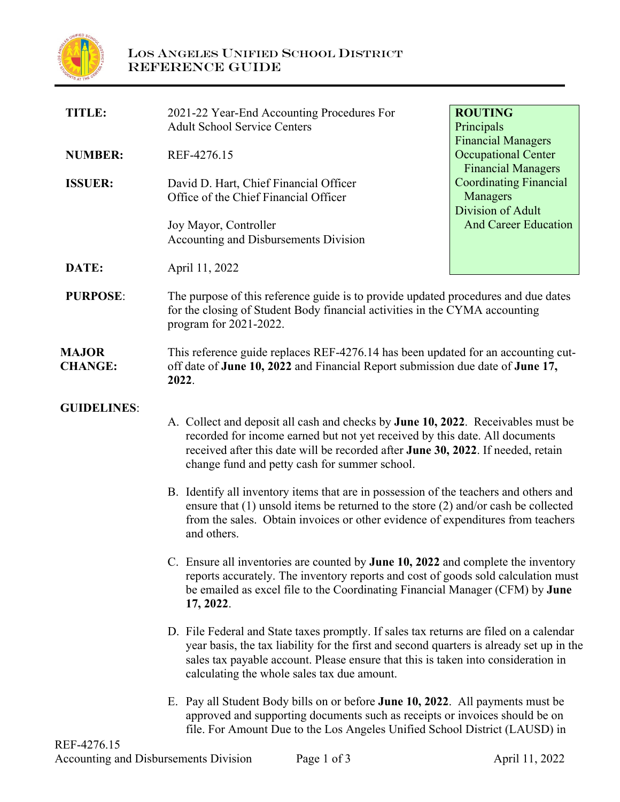

| <b>TITLE:</b>                  | 2021-22 Year-End Accounting Procedures For<br><b>Adult School Service Centers</b>                                                                                                                                                                                                                                                                                                                                                                                                                                                                                                                                                                                                                                                                                                                                                                                                                                                                                                                                                                                                                                                                                                          | <b>ROUTING</b><br>Principals<br><b>Financial Managers</b><br><b>Occupational Center</b><br><b>Financial Managers</b> |
|--------------------------------|--------------------------------------------------------------------------------------------------------------------------------------------------------------------------------------------------------------------------------------------------------------------------------------------------------------------------------------------------------------------------------------------------------------------------------------------------------------------------------------------------------------------------------------------------------------------------------------------------------------------------------------------------------------------------------------------------------------------------------------------------------------------------------------------------------------------------------------------------------------------------------------------------------------------------------------------------------------------------------------------------------------------------------------------------------------------------------------------------------------------------------------------------------------------------------------------|----------------------------------------------------------------------------------------------------------------------|
| <b>NUMBER:</b>                 | REF-4276.15                                                                                                                                                                                                                                                                                                                                                                                                                                                                                                                                                                                                                                                                                                                                                                                                                                                                                                                                                                                                                                                                                                                                                                                |                                                                                                                      |
| <b>ISSUER:</b>                 | David D. Hart, Chief Financial Officer<br>Office of the Chief Financial Officer                                                                                                                                                                                                                                                                                                                                                                                                                                                                                                                                                                                                                                                                                                                                                                                                                                                                                                                                                                                                                                                                                                            | <b>Coordinating Financial</b><br>Managers<br>Division of Adult                                                       |
|                                | Joy Mayor, Controller<br>Accounting and Disbursements Division                                                                                                                                                                                                                                                                                                                                                                                                                                                                                                                                                                                                                                                                                                                                                                                                                                                                                                                                                                                                                                                                                                                             | <b>And Career Education</b>                                                                                          |
| DATE:                          | April 11, 2022                                                                                                                                                                                                                                                                                                                                                                                                                                                                                                                                                                                                                                                                                                                                                                                                                                                                                                                                                                                                                                                                                                                                                                             |                                                                                                                      |
| <b>PURPOSE:</b>                | The purpose of this reference guide is to provide updated procedures and due dates<br>for the closing of Student Body financial activities in the CYMA accounting<br>program for 2021-2022.                                                                                                                                                                                                                                                                                                                                                                                                                                                                                                                                                                                                                                                                                                                                                                                                                                                                                                                                                                                                |                                                                                                                      |
| <b>MAJOR</b><br><b>CHANGE:</b> | This reference guide replaces REF-4276.14 has been updated for an accounting cut-<br>off date of June 10, 2022 and Financial Report submission due date of June 17,<br>2022.                                                                                                                                                                                                                                                                                                                                                                                                                                                                                                                                                                                                                                                                                                                                                                                                                                                                                                                                                                                                               |                                                                                                                      |
| <b>GUIDELINES:</b>             | A. Collect and deposit all cash and checks by June 10, 2022. Receivables must be<br>recorded for income earned but not yet received by this date. All documents<br>received after this date will be recorded after June 30, 2022. If needed, retain<br>change fund and petty cash for summer school.<br>B. Identify all inventory items that are in possession of the teachers and others and<br>ensure that $(1)$ unsold items be returned to the store $(2)$ and/or cash be collected<br>from the sales. Obtain invoices or other evidence of expenditures from teachers<br>and others.<br>C. Ensure all inventories are counted by June 10, 2022 and complete the inventory<br>reports accurately. The inventory reports and cost of goods sold calculation must<br>be emailed as excel file to the Coordinating Financial Manager (CFM) by June<br>17, 2022.<br>D. File Federal and State taxes promptly. If sales tax returns are filed on a calendar<br>year basis, the tax liability for the first and second quarters is already set up in the<br>sales tax payable account. Please ensure that this is taken into consideration in<br>calculating the whole sales tax due amount. |                                                                                                                      |
|                                |                                                                                                                                                                                                                                                                                                                                                                                                                                                                                                                                                                                                                                                                                                                                                                                                                                                                                                                                                                                                                                                                                                                                                                                            |                                                                                                                      |
|                                |                                                                                                                                                                                                                                                                                                                                                                                                                                                                                                                                                                                                                                                                                                                                                                                                                                                                                                                                                                                                                                                                                                                                                                                            |                                                                                                                      |
|                                |                                                                                                                                                                                                                                                                                                                                                                                                                                                                                                                                                                                                                                                                                                                                                                                                                                                                                                                                                                                                                                                                                                                                                                                            |                                                                                                                      |
|                                | E. Pay all Student Body bills on or before June 10, 2022. All payments must be<br>approved and supporting documents such as receipts or invoices should be on<br>file. For Amount Due to the Los Angeles Unified School District (LAUSD) in                                                                                                                                                                                                                                                                                                                                                                                                                                                                                                                                                                                                                                                                                                                                                                                                                                                                                                                                                |                                                                                                                      |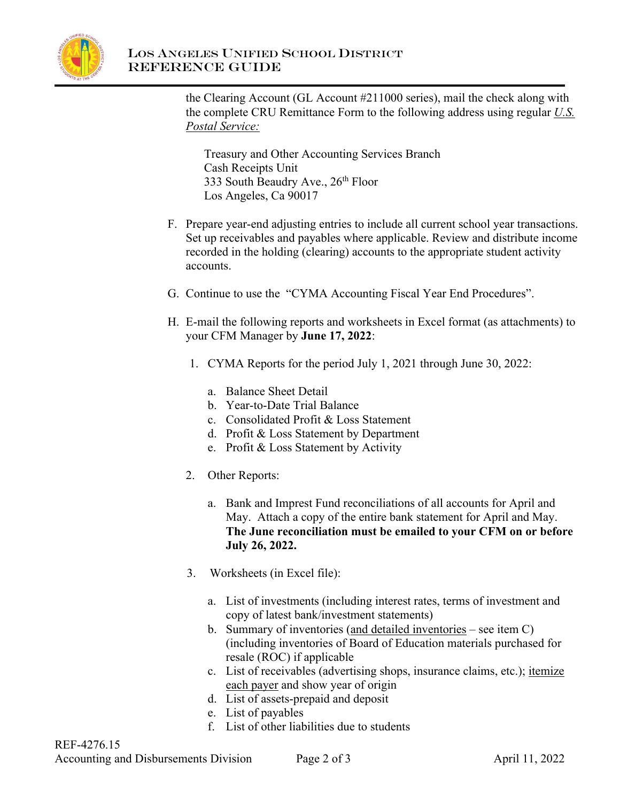

## LOS ANGELES UNIFIED SCHOOL DISTRICT REFERENCE GUIDE

the Clearing Account (GL Account #211000 series), mail the check along with the complete CRU Remittance Form to the following address using regular *U.S. Postal Service:*

Treasury and Other Accounting Services Branch Cash Receipts Unit 333 South Beaudry Ave., 26<sup>th</sup> Floor Los Angeles, Ca 90017

- F. Prepare year-end adjusting entries to include all current school year transactions. Set up receivables and payables where applicable. Review and distribute income recorded in the holding (clearing) accounts to the appropriate student activity accounts.
- G. Continue to use the "CYMA Accounting Fiscal Year End Procedures".
- H. E-mail the following reports and worksheets in Excel format (as attachments) to your CFM Manager by **June 17, 2022**:
	- 1. CYMA Reports for the period July 1, 2021 through June 30, 2022:
		- a. Balance Sheet Detail
		- b. Year-to-Date Trial Balance
		- c. Consolidated Profit & Loss Statement
		- d. Profit & Loss Statement by Department
		- e. Profit & Loss Statement by Activity
	- 2. Other Reports:
		- a. Bank and Imprest Fund reconciliations of all accounts for April and May. Attach a copy of the entire bank statement for April and May. **The June reconciliation must be emailed to your CFM on or before July 26, 2022.**
	- 3. Worksheets (in Excel file):
		- a. List of investments (including interest rates, terms of investment and copy of latest bank/investment statements)
		- b. Summary of inventories (and detailed inventories see item C) (including inventories of Board of Education materials purchased for resale (ROC) if applicable
		- c. List of receivables (advertising shops, insurance claims, etc.); itemize each payer and show year of origin
		- d. List of assets-prepaid and deposit
		- e. List of payables
		- f. List of other liabilities due to students